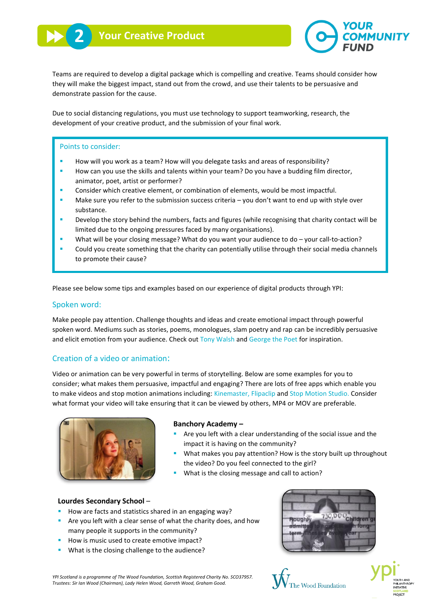

Teams are required to develop a digital package which is compelling and creative. Teams should consider how they will make the biggest impact, stand out from the crowd, and use their talents to be persuasive and demonstrate passion for the cause.

Due to social distancing regulations, you must use technology to support teamworking, research, the development of your creative product, and the submission of your final work.

### Points to consider:

- How will you work as a team? How will you delegate tasks and areas of responsibility?
- **■** How can you use the skills and talents within your team? Do you have a budding film director, animator, poet, artist or performer?
- Consider which creative element, or combination of elements, would be most impactful.
- Make sure you refer to the submission success criteria you don't want to end up with style over substance.
- **•** Develop the story behind the numbers, facts and figures (while recognising that charity contact will be limited due to the ongoing pressures faced by many organisations).
- What will be your closing message? What do you want your audience to do your call-to-action?
- Could you create something that the charity can potentially utilise through their social media channels to promote their cause?

Please see below some tips and examples based on our experience of digital products through YPI:

### Spoken word:

Make people pay attention. Challenge thoughts and ideas and create emotional impact through powerful spoken word. Mediums such as stories, poems, monologues, slam poetry and rap can be incredibly persuasive and elicit emotion from your audience. Check out [Tony Walsh](https://www.youtube.com/watch?v=_r0L3VjkFsc) an[d George the Poet](https://www.youtube.com/watch?v=V3YnWgZ-0Ds) for inspiration.

### Creation of a video or animation:

Video or animation can be very powerful in terms of storytelling. Below are some examples for you to consider; what makes them persuasive, impactful and engaging? There are lots of free apps which enable you to make videos and stop motion animations including[: Kinemaster,](https://www.kinemaster.com/) [Flipaclip](https://play.google.com/store/apps/details?id=com.vblast.flipaclip&hl=en_GB) an[d Stop Motion Studio.](https://play.google.com/store/apps/details?id=com.cateater.stopmotionstudio&hl=en_GB) Consider what format your video will take ensuring that it can be viewed by others, MP4 or MOV are preferable.



#### **Banchory Academy** *–*

- Are you left with a clear understanding of the social issue and the impact it is having on the community?
- What makes you pay attention? How is the story built up throughout the video? Do you feel connected to the girl?
- What is the closing message and call to action?

#### **Lourdes Secondary School** –

- How are facts and statistics shared in an engaging way?
- Are you left with a clear sense of what the charity does, and how many people it supports in the community?
- How is music used to create emotive impact?
- What is the closing challenge to the audience?